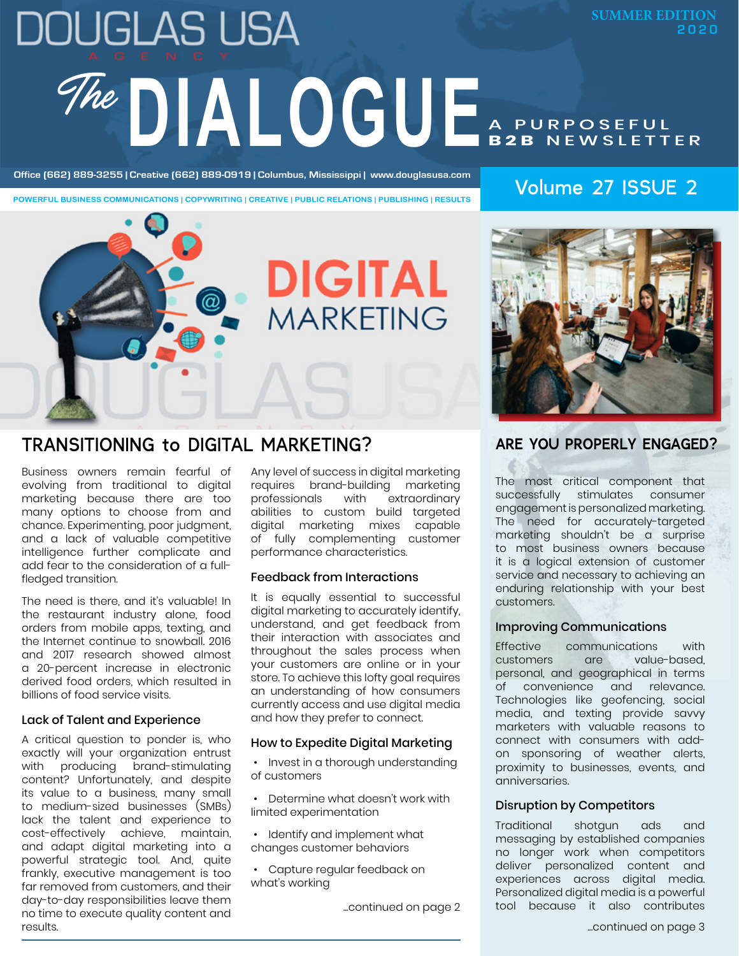# **DOUGLAS USA SUMMER EDITION 2020**The DIALOGUE A PURPOSEFUL **B2B** NEWSLETTER

Office (662) 889-3255 | Creative (662) 889-0919 | Columbus, Mississippi | www.douglasusa.com<br>
Volume 27 ISSUE 2

**POWERFUL BUSINESS COMMUNICATIONS | COPYWRITING | CREATIVE | PUBLIC RELATIONS | PUBLISHING | RESULTS**



### TRANSITIONING to DIGITAL MARKETING?

Business owners remain fearful of evolving from traditional to digital marketing because there are too many options to choose from and chance. Experimenting, poor judgment, and a lack of valuable competitive intelligence further complicate and add fear to the consideration of a fullfledged transition.

The need is there, and it's valuable! In the restaurant industry alone, food orders from mobile apps, texting, and the Internet continue to snowball. 2016 and 2017 research showed almost a 20-percent increase in electronic derived food orders, which resulted in billions of food service visits.

#### Lack of Talent and Experience

A critical question to ponder is, who exactly will your organization entrust with producing brand-stimulating content? Unfortunately, and despite its value to a business, many small to medium-sized businesses (SMBs) lack the talent and experience to cost-effectively achieve, maintain, and adapt digital marketing into a powerful strategic tool. And, quite frankly, executive management is too far removed from customers, and their day-to-day responsibilities leave them no time to execute quality content and results.

Any level of success in digital marketing requires brand-building marketing<br>professionals with extraordinary extraordinary abilities to custom build targeted digital marketing mixes capable of fully complementing customer performance characteristics.

#### Feedback from Interactions

It is equally essential to successful digital marketing to accurately identify, understand, and get feedback from their interaction with associates and throughout the sales process when your customers are online or in your store. To achieve this lofty goal requires an understanding of how consumers currently access and use digital media and how they prefer to connect.

#### How to Expedite Digital Marketing

- Invest in a thorough understanding of customers
- Determine what doesn't work with limited experimentation
- Identify and implement what changes customer behaviors
- Capture regular feedback on what's working

...continued on page 2

### **ARE YOU PROPERLY ENGAGED?**

The most critical component that successfully stimulates consumer engagement is personalized marketing. The need for accurately-targeted marketing shouldn't be a surprise to most business owners because it is a logical extension of customer service and necessary to achieving an enduring relationship with your best customers.

#### Improving Communications

Effective communications with customers are value-based, personal, and geographical in terms of convenience and relevance. Technologies like geofencing, social media, and texting provide savvy marketers with valuable reasons to connect with consumers with addon sponsoring of weather alerts, proximity to businesses, events, and anniversaries.

#### Disruption by Competitors

Traditional shotgun ads and messaging by established companies no longer work when competitors deliver personalized content and experiences across digital media. Personalized digital media is a powerful tool because it also contributes

...continued on page 3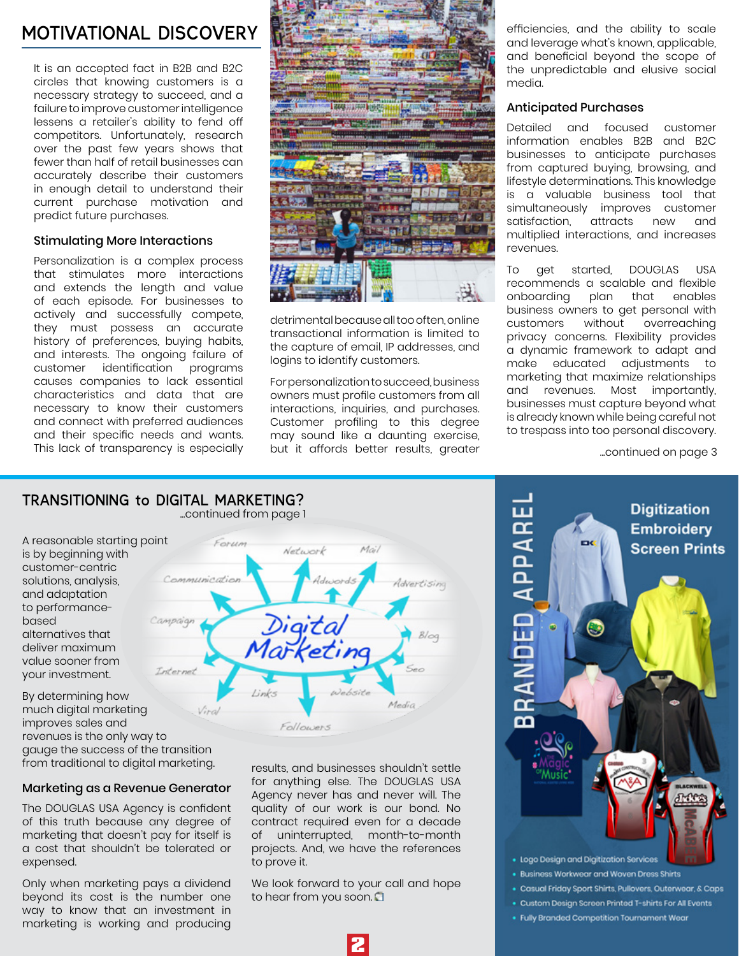### MOTIVATIONAL DISCOVERY **The ability of the ability to scale**

It is an accepted fact in B2B and B2C circles that knowing customers is a necessary strategy to succeed, and a failure to improve customer intelligence lessens a retailer's ability to fend off competitors. Unfortunately, research over the past few years shows that fewer than half of retail businesses can accurately describe their customers in enough detail to understand their current purchase motivation and predict future purchases.

#### Stimulating More Interactions

Personalization is a complex process that stimulates more interactions and extends the length and value of each episode. For businesses to actively and successfully compete, they must possess an accurate history of preferences, buying habits, and interests. The ongoing failure of customer identification programs causes companies to lack essential characteristics and data that are necessary to know their customers and connect with preferred audiences and their specific needs and wants. This lack of transparency is especially



detrimental because all too often, online transactional information is limited to the capture of email, IP addresses, and logins to identify customers.

For personalization to succeed, business owners must profile customers from all interactions, inquiries, and purchases. Customer profiling to this degree may sound like a daunting exercise, but it affords better results, greater

Mai

and leverage what's known, applicable, and beneficial beyond the scope of the unpredictable and elusive social media.

#### Anticipated Purchases

Detailed and focused customer information enables B2B and B2C businesses to anticipate purchases from captured buying, browsing, and lifestyle determinations. This knowledge is a valuable business tool that simultaneously improves customer<br>satisfaction. attracts new and satisfaction, attracts new multiplied interactions, and increases revenues.

To get started, DOUGLAS USA recommends a scalable and flexible<br>onboarding plan that enables onboarding business owners to get personal with customers without overreaching privacy concerns. Flexibility provides a dynamic framework to adapt and<br>make educated adjustments to make educated marketing that maximize relationships and revenues. Most importantly, businesses must capture beyond what is already known while being careful not to trespass into too personal discovery.

...continued on page 3

#### TRANSITIONING to DIGITAL MARKETING? ...continued from page 1

Forum

A reasonable starting point is by beginning with customer-centric solutions, analysis, and adaptation to performancebased alternatives that deliver maximum value sooner from your investment.



By determining how much digital marketing improves sales and revenues is the only way to gauge the success of the transition from traditional to digital marketing.

#### Marketing as a Revenue Generator

The DOUGLAS USA Agency is confident of this truth because any degree of marketing that doesn't pay for itself is a cost that shouldn't be tolerated or expensed.

Only when marketing pays a dividend beyond its cost is the number one way to know that an investment in marketing is working and producing results, and businesses shouldn't settle for anything else. The DOUGLAS USA Agency never has and never will. The quality of our work is our bond. No contract required even for a decade of uninterrupted, month-to-month projects. And, we have the references to prove it.

We look forward to your call and hope to hear from you soon.